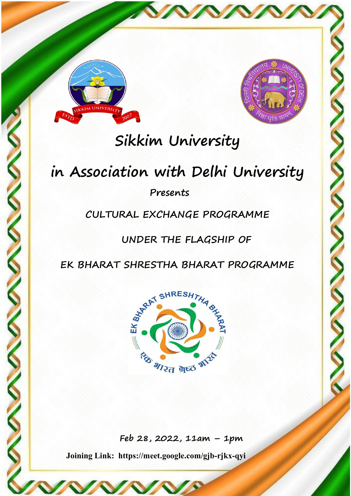



## Sikkim University<br>
Sikkim University<br>
Sociation with Delhi University<br>
Presents<br>
CULTURAL EXCHANGE PROGRAMME<br>
UNDER THE FLAGSHIP OF<br>
HARAT SHRESTHA BHARAT PROGRAMME Sikkim University<br>
Fresents<br>
RAL EXCHANGE PROGRAMME<br>
UNDER THE FLAGSHIP OF<br>
SHRESTHA BHARAT PROGRAMME<br>
SHRESH<sub>ESHESHE</sub>

## Presents